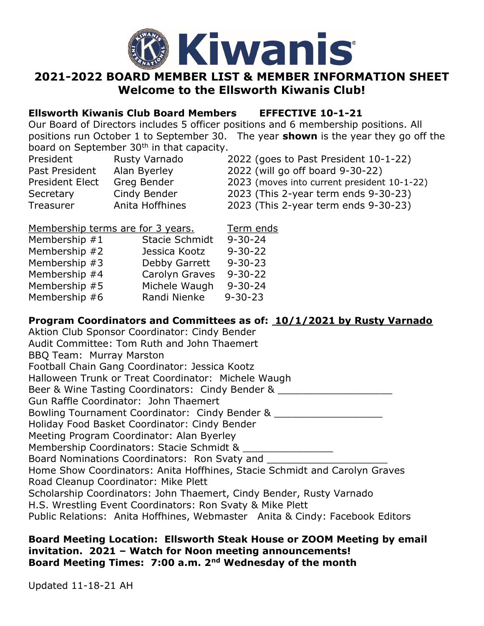

## 2021-2022 BOARD MEMBER LIST & MEMBER INFORMATION SHEET Welcome to the Ellsworth Kiwanis Club!

## Ellsworth Kiwanis Club Board Members EFFECTIVE 10-1-21

Our Board of Directors includes 5 officer positions and 6 membership positions. All positions run October 1 to September 30. The year **shown** is the year they go off the board on September 30<sup>th</sup> in that capacity.

| President       | Rusty Varnado   | 2022 (goes to Past President 10-1-22)       |
|-----------------|-----------------|---------------------------------------------|
| Past President  | Alan Byerley    | 2022 (will go off board 9-30-22)            |
| President Elect | Greg Bender     | 2023 (moves into current president 10-1-22) |
| Secretary       | Cindy Bender    | 2023 (This 2-year term ends 9-30-23)        |
| Treasurer       | Anita Hoffhines | 2023 (This 2-year term ends 9-30-23)        |

| Membership terms are for 3 years. |                | Term ends     |
|-----------------------------------|----------------|---------------|
| Membership #1                     | Stacie Schmidt | $9 - 30 - 24$ |
| Membership #2                     | Jessica Kootz  | $9 - 30 - 22$ |
| Membership #3                     | Debby Garrett  | $9 - 30 - 23$ |
| Membership #4                     | Carolyn Graves | $9 - 30 - 22$ |
| Membership #5                     | Michele Waugh  | $9 - 30 - 24$ |
| Membership #6                     | Randi Nienke   | $9 - 30 - 23$ |

## Program Coordinators and Committees as of: 10/1/2021 by Rusty Varnado

Aktion Club Sponsor Coordinator: Cindy Bender Audit Committee: Tom Ruth and John Thaemert BBQ Team: Murray Marston Football Chain Gang Coordinator: Jessica Kootz Halloween Trunk or Treat Coordinator: Michele Waugh Beer & Wine Tasting Coordinators: Cindy Bender & Gun Raffle Coordinator: John Thaemert Bowling Tournament Coordinator: Cindy Bender & Holiday Food Basket Coordinator: Cindy Bender Meeting Program Coordinator: Alan Byerley Membership Coordinators: Stacie Schmidt & \_\_\_\_\_\_\_\_\_\_\_\_\_\_\_ Board Nominations Coordinators: Ron Svaty and Home Show Coordinators: Anita Hoffhines, Stacie Schmidt and Carolyn Graves Road Cleanup Coordinator: Mike Plett Scholarship Coordinators: John Thaemert, Cindy Bender, Rusty Varnado H.S. Wrestling Event Coordinators: Ron Svaty & Mike Plett Public Relations: Anita Hoffhines, Webmaster Anita & Cindy: Facebook Editors

## Board Meeting Location: Ellsworth Steak House or ZOOM Meeting by email invitation. 2021 – Watch for Noon meeting announcements! Board Meeting Times: 7:00 a.m. 2nd Wednesday of the month

Updated 11-18-21 AH